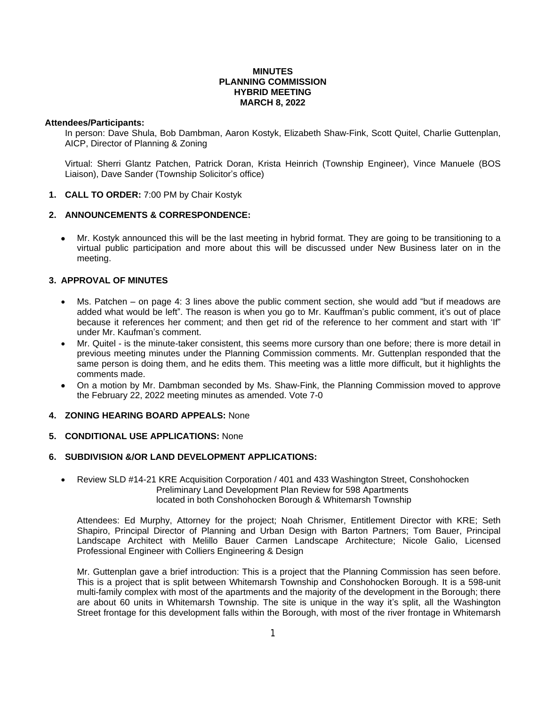## **MINUTES PLANNING COMMISSION HYBRID MEETING MARCH 8, 2022**

### **Attendees/Participants:**

In person: Dave Shula, Bob Dambman, Aaron Kostyk, Elizabeth Shaw-Fink, Scott Quitel, Charlie Guttenplan, AICP, Director of Planning & Zoning

Virtual: Sherri Glantz Patchen, Patrick Doran, Krista Heinrich (Township Engineer), Vince Manuele (BOS Liaison), Dave Sander (Township Solicitor's office)

**1. CALL TO ORDER:** 7:00 PM by Chair Kostyk

# **2. ANNOUNCEMENTS & CORRESPONDENCE:**

 Mr. Kostyk announced this will be the last meeting in hybrid format. They are going to be transitioning to a virtual public participation and more about this will be discussed under New Business later on in the meeting.

## **3. APPROVAL OF MINUTES**

- Ms. Patchen on page 4: 3 lines above the public comment section, she would add "but if meadows are added what would be left". The reason is when you go to Mr. Kauffman's public comment, it's out of place because it references her comment; and then get rid of the reference to her comment and start with 'If" under Mr. Kaufman's comment.
- Mr. Quitel is the minute-taker consistent, this seems more cursory than one before; there is more detail in previous meeting minutes under the Planning Commission comments. Mr. Guttenplan responded that the same person is doing them, and he edits them. This meeting was a little more difficult, but it highlights the comments made.
- On a motion by Mr. Dambman seconded by Ms. Shaw-Fink, the Planning Commission moved to approve the February 22, 2022 meeting minutes as amended. Vote 7-0

## **4. ZONING HEARING BOARD APPEALS:** None

### **5. CONDITIONAL USE APPLICATIONS:** None

## **6. SUBDIVISION &/OR LAND DEVELOPMENT APPLICATIONS:**

 Review SLD #14-21 KRE Acquisition Corporation / 401 and 433 Washington Street, Conshohocken Preliminary Land Development Plan Review for 598 Apartments located in both Conshohocken Borough & Whitemarsh Township

Attendees: Ed Murphy, Attorney for the project; Noah Chrismer, Entitlement Director with KRE; Seth Shapiro, Principal Director of Planning and Urban Design with Barton Partners; Tom Bauer, Principal Landscape Architect with Melillo Bauer Carmen Landscape Architecture; Nicole Galio, Licensed Professional Engineer with Colliers Engineering & Design

Mr. Guttenplan gave a brief introduction: This is a project that the Planning Commission has seen before. This is a project that is split between Whitemarsh Township and Conshohocken Borough. It is a 598-unit multi-family complex with most of the apartments and the majority of the development in the Borough; there are about 60 units in Whitemarsh Township. The site is unique in the way it's split, all the Washington Street frontage for this development falls within the Borough, with most of the river frontage in Whitemarsh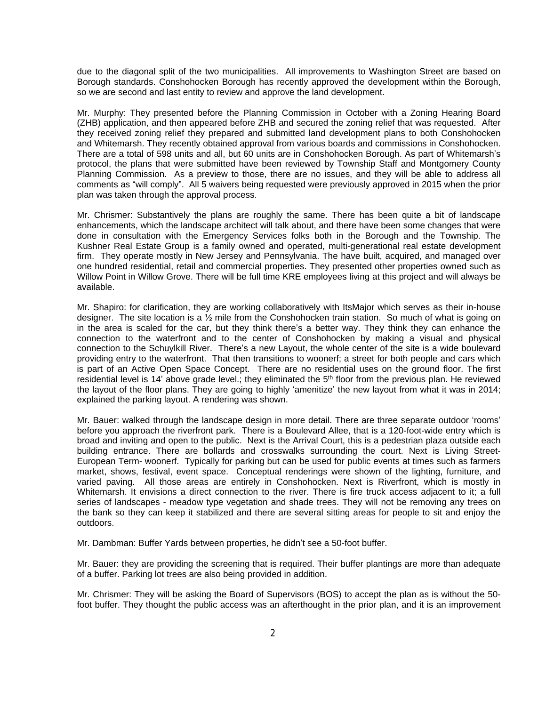due to the diagonal split of the two municipalities. All improvements to Washington Street are based on Borough standards. Conshohocken Borough has recently approved the development within the Borough, so we are second and last entity to review and approve the land development.

Mr. Murphy: They presented before the Planning Commission in October with a Zoning Hearing Board (ZHB) application, and then appeared before ZHB and secured the zoning relief that was requested. After they received zoning relief they prepared and submitted land development plans to both Conshohocken and Whitemarsh. They recently obtained approval from various boards and commissions in Conshohocken. There are a total of 598 units and all, but 60 units are in Conshohocken Borough. As part of Whitemarsh's protocol, the plans that were submitted have been reviewed by Township Staff and Montgomery County Planning Commission. As a preview to those, there are no issues, and they will be able to address all comments as "will comply". All 5 waivers being requested were previously approved in 2015 when the prior plan was taken through the approval process.

Mr. Chrismer: Substantively the plans are roughly the same. There has been quite a bit of landscape enhancements, which the landscape architect will talk about, and there have been some changes that were done in consultation with the Emergency Services folks both in the Borough and the Township. The Kushner Real Estate Group is a family owned and operated, multi-generational real estate development firm. They operate mostly in New Jersey and Pennsylvania. The have built, acquired, and managed over one hundred residential, retail and commercial properties. They presented other properties owned such as Willow Point in Willow Grove. There will be full time KRE employees living at this project and will always be available.

Mr. Shapiro: for clarification, they are working collaboratively with ItsMajor which serves as their in-house designer. The site location is a ½ mile from the Conshohocken train station. So much of what is going on in the area is scaled for the car, but they think there's a better way. They think they can enhance the connection to the waterfront and to the center of Conshohocken by making a visual and physical connection to the Schuylkill River. There's a new Layout, the whole center of the site is a wide boulevard providing entry to the waterfront. That then transitions to woonerf; a street for both people and cars which is part of an Active Open Space Concept. There are no residential uses on the ground floor. The first residential level is 14' above grade level.; they eliminated the 5<sup>th</sup> floor from the previous plan. He reviewed the layout of the floor plans. They are going to highly 'amenitize' the new layout from what it was in 2014; explained the parking layout. A rendering was shown.

Mr. Bauer: walked through the landscape design in more detail. There are three separate outdoor 'rooms' before you approach the riverfront park. There is a Boulevard Allee, that is a 120-foot-wide entry which is broad and inviting and open to the public. Next is the Arrival Court, this is a pedestrian plaza outside each building entrance. There are bollards and crosswalks surrounding the court. Next is Living Street-European Term- woonerf. Typically for parking but can be used for public events at times such as farmers market, shows, festival, event space. Conceptual renderings were shown of the lighting, furniture, and varied paving. All those areas are entirely in Conshohocken. Next is Riverfront, which is mostly in Whitemarsh. It envisions a direct connection to the river. There is fire truck access adjacent to it; a full series of landscapes - meadow type vegetation and shade trees. They will not be removing any trees on the bank so they can keep it stabilized and there are several sitting areas for people to sit and enjoy the outdoors.

Mr. Dambman: Buffer Yards between properties, he didn't see a 50-foot buffer.

Mr. Bauer: they are providing the screening that is required. Their buffer plantings are more than adequate of a buffer. Parking lot trees are also being provided in addition.

Mr. Chrismer: They will be asking the Board of Supervisors (BOS) to accept the plan as is without the 50 foot buffer. They thought the public access was an afterthought in the prior plan, and it is an improvement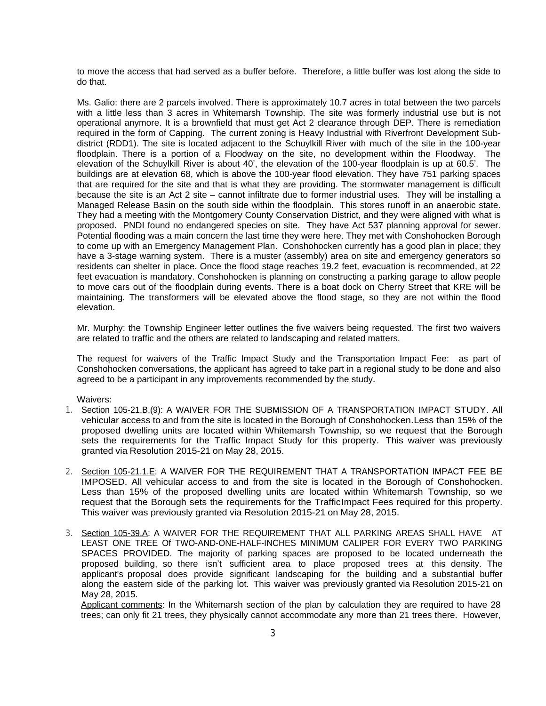to move the access that had served as a buffer before. Therefore, a little buffer was lost along the side to do that.

Ms. Galio: there are 2 parcels involved. There is approximately 10.7 acres in total between the two parcels with a little less than 3 acres in Whitemarsh Township. The site was formerly industrial use but is not operational anymore. It is a brownfield that must get Act 2 clearance through DEP. There is remediation required in the form of Capping. The current zoning is Heavy Industrial with Riverfront Development Subdistrict (RDD1). The site is located adjacent to the Schuylkill River with much of the site in the 100-year floodplain. There is a portion of a Floodway on the site, no development within the Floodway. The elevation of the Schuylkill River is about 40', the elevation of the 100-year floodplain is up at 60.5'. The buildings are at elevation 68, which is above the 100-year flood elevation. They have 751 parking spaces that are required for the site and that is what they are providing. The stormwater management is difficult because the site is an Act 2 site – cannot infiltrate due to former industrial uses. They will be installing a Managed Release Basin on the south side within the floodplain. This stores runoff in an anaerobic state. They had a meeting with the Montgomery County Conservation District, and they were aligned with what is proposed. PNDI found no endangered species on site. They have Act 537 planning approval for sewer. Potential flooding was a main concern the last time they were here. They met with Conshohocken Borough to come up with an Emergency Management Plan. Conshohocken currently has a good plan in place; they have a 3-stage warning system. There is a muster (assembly) area on site and emergency generators so residents can shelter in place. Once the flood stage reaches 19.2 feet, evacuation is recommended, at 22 feet evacuation is mandatory. Conshohocken is planning on constructing a parking garage to allow people to move cars out of the floodplain during events. There is a boat dock on Cherry Street that KRE will be maintaining. The transformers will be elevated above the flood stage, so they are not within the flood elevation.

Mr. Murphy: the Township Engineer letter outlines the five waivers being requested. The first two waivers are related to traffic and the others are related to landscaping and related matters.

The request for waivers of the Traffic Impact Study and the Transportation Impact Fee: as part of Conshohocken conversations, the applicant has agreed to take part in a regional study to be done and also agreed to be a participant in any improvements recommended by the study.

Waivers:

- 1. Section 105-21.B.(9): A WAIVER FOR THE SUBMISSION OF A TRANSPORTATION IMPACT STUDY. All vehicular access to and from the site is located in the Borough of Conshohocken.Less than 15% of the proposed dwelling units are located within Whitemarsh Township, so we request that the Borough sets the requirements for the Traffic Impact Study for this property. This waiver was previously granted via Resolution 2015-21 on May 28, 2015.
- 2. Section 105-21.1.E: A WAIVER FOR THE REQUIREMENT THAT A TRANSPORTATION IMPACT FEE BE IMPOSED. All vehicular access to and from the site is located in the Borough of Conshohocken. Less than 15% of the proposed dwelling units are located within Whitemarsh Township, so we request that the Borough sets the requirements for the TrafficImpact Fees required for this property. This waiver was previously granted via Resolution 2015-21 on May 28, 2015.
- 3. Section 105-39.A: A WAIVER FOR THE REQUIREMENT THAT ALL PARKING AREAS SHALL HAVE AT LEAST ONE TREE Of TWO-AND-ONE-HALF-INCHES MINIMUM CALIPER FOR EVERY TWO PARKING SPACES PROVIDED. The majority of parking spaces are proposed to be located underneath the proposed building, so there isn't sufficient area to place proposed trees at this density. The applicant's proposal does provide significant landscaping for the building and a substantial buffer along the eastern side of the parking lot. This waiver was previously granted via Resolution 2015-21 on May 28, 2015.

Applicant comments: In the Whitemarsh section of the plan by calculation they are required to have 28 trees; can only fit 21 trees, they physically cannot accommodate any more than 21 trees there. However,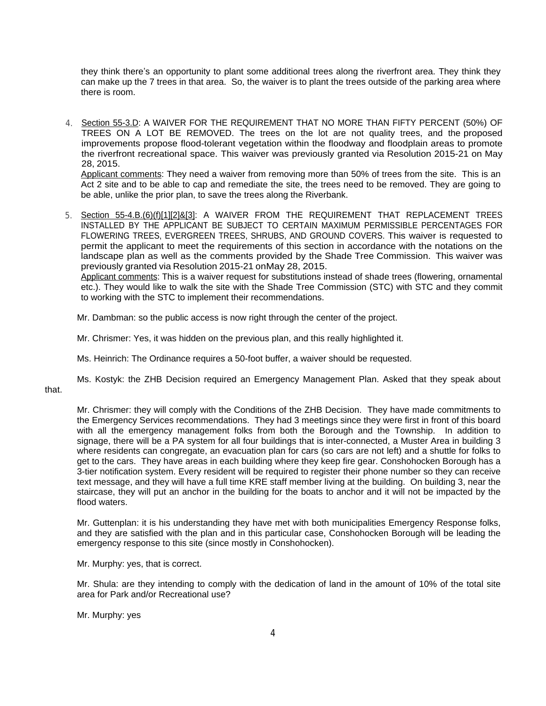they think there's an opportunity to plant some additional trees along the riverfront area. They think they can make up the 7 trees in that area. So, the waiver is to plant the trees outside of the parking area where there is room.

4. Section 55-3.D: A WAIVER FOR THE REQUIREMENT THAT NO MORE THAN FIFTY PERCENT (50%) OF TREES ON A LOT BE REMOVED. The trees on the lot are not quality trees, and the proposed improvements propose flood-tolerant vegetation within the floodway and floodplain areas to promote the riverfront recreational space. This waiver was previously granted via Resolution 2015-21 on May 28, 2015.

Applicant comments: They need a waiver from removing more than 50% of trees from the site. This is an Act 2 site and to be able to cap and remediate the site, the trees need to be removed. They are going to be able, unlike the prior plan, to save the trees along the Riverbank.

5. Section 55-4.B.(6)(f)[1][2]&[3]: A WAIVER FROM THE REQUIREMENT THAT REPLACEMENT TREES INSTALLED BY THE APPLICANT BE SUBJECT TO CERTAIN MAXIMUM PERMISSIBLE PERCENTAGES FOR FLOWERING TREES, EVERGREEN TREES, SHRUBS, AND GROUND COVERS. This waiver is requested to permit the applicant to meet the requirements of this section in accordance with the notations on the landscape plan as well as the comments provided by the Shade Tree Commission. This waiver was previously granted via Resolution 2015-21 onMay 28, 2015.

Applicant comments: This is a waiver request for substitutions instead of shade trees (flowering, ornamental etc.). They would like to walk the site with the Shade Tree Commission (STC) with STC and they commit to working with the STC to implement their recommendations.

Mr. Dambman: so the public access is now right through the center of the project.

Mr. Chrismer: Yes, it was hidden on the previous plan, and this really highlighted it.

Ms. Heinrich: The Ordinance requires a 50-foot buffer, a waiver should be requested.

Ms. Kostyk: the ZHB Decision required an Emergency Management Plan. Asked that they speak about that.

Mr. Chrismer: they will comply with the Conditions of the ZHB Decision. They have made commitments to the Emergency Services recommendations. They had 3 meetings since they were first in front of this board with all the emergency management folks from both the Borough and the Township. In addition to signage, there will be a PA system for all four buildings that is inter-connected, a Muster Area in building 3 where residents can congregate, an evacuation plan for cars (so cars are not left) and a shuttle for folks to get to the cars. They have areas in each building where they keep fire gear. Conshohocken Borough has a 3-tier notification system. Every resident will be required to register their phone number so they can receive text message, and they will have a full time KRE staff member living at the building. On building 3, near the staircase, they will put an anchor in the building for the boats to anchor and it will not be impacted by the flood waters.

Mr. Guttenplan: it is his understanding they have met with both municipalities Emergency Response folks, and they are satisfied with the plan and in this particular case, Conshohocken Borough will be leading the emergency response to this site (since mostly in Conshohocken).

Mr. Murphy: yes, that is correct.

Mr. Shula: are they intending to comply with the dedication of land in the amount of 10% of the total site area for Park and/or Recreational use?

Mr. Murphy: yes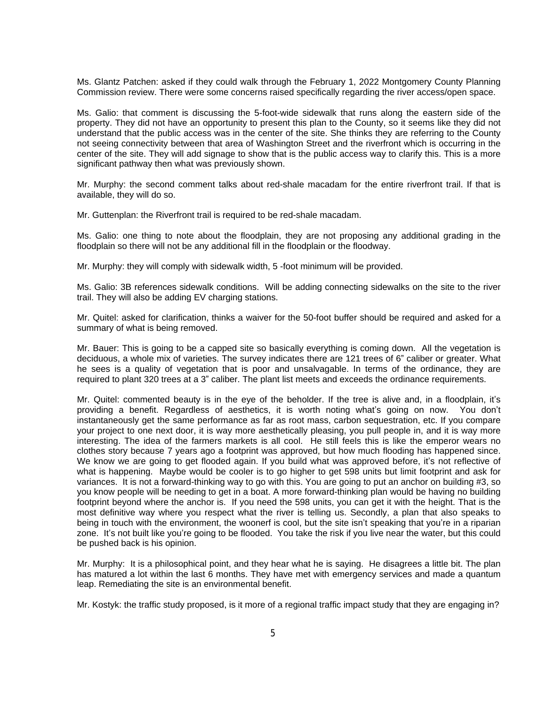Ms. Glantz Patchen: asked if they could walk through the February 1, 2022 Montgomery County Planning Commission review. There were some concerns raised specifically regarding the river access/open space.

Ms. Galio: that comment is discussing the 5-foot-wide sidewalk that runs along the eastern side of the property. They did not have an opportunity to present this plan to the County, so it seems like they did not understand that the public access was in the center of the site. She thinks they are referring to the County not seeing connectivity between that area of Washington Street and the riverfront which is occurring in the center of the site. They will add signage to show that is the public access way to clarify this. This is a more significant pathway then what was previously shown.

Mr. Murphy: the second comment talks about red-shale macadam for the entire riverfront trail. If that is available, they will do so.

Mr. Guttenplan: the Riverfront trail is required to be red-shale macadam.

Ms. Galio: one thing to note about the floodplain, they are not proposing any additional grading in the floodplain so there will not be any additional fill in the floodplain or the floodway.

Mr. Murphy: they will comply with sidewalk width, 5 -foot minimum will be provided.

Ms. Galio: 3B references sidewalk conditions. Will be adding connecting sidewalks on the site to the river trail. They will also be adding EV charging stations.

Mr. Quitel: asked for clarification, thinks a waiver for the 50-foot buffer should be required and asked for a summary of what is being removed.

Mr. Bauer: This is going to be a capped site so basically everything is coming down. All the vegetation is deciduous, a whole mix of varieties. The survey indicates there are 121 trees of 6" caliber or greater. What he sees is a quality of vegetation that is poor and unsalvagable. In terms of the ordinance, they are required to plant 320 trees at a 3" caliber. The plant list meets and exceeds the ordinance requirements.

Mr. Quitel: commented beauty is in the eye of the beholder. If the tree is alive and, in a floodplain, it's providing a benefit. Regardless of aesthetics, it is worth noting what's going on now. You don't instantaneously get the same performance as far as root mass, carbon sequestration, etc. If you compare your project to one next door, it is way more aesthetically pleasing, you pull people in, and it is way more interesting. The idea of the farmers markets is all cool. He still feels this is like the emperor wears no clothes story because 7 years ago a footprint was approved, but how much flooding has happened since. We know we are going to get flooded again. If you build what was approved before, it's not reflective of what is happening. Maybe would be cooler is to go higher to get 598 units but limit footprint and ask for variances. It is not a forward-thinking way to go with this. You are going to put an anchor on building #3, so you know people will be needing to get in a boat. A more forward-thinking plan would be having no building footprint beyond where the anchor is. If you need the 598 units, you can get it with the height. That is the most definitive way where you respect what the river is telling us. Secondly, a plan that also speaks to being in touch with the environment, the woonerf is cool, but the site isn't speaking that you're in a riparian zone. It's not built like you're going to be flooded. You take the risk if you live near the water, but this could be pushed back is his opinion.

Mr. Murphy: It is a philosophical point, and they hear what he is saying. He disagrees a little bit. The plan has matured a lot within the last 6 months. They have met with emergency services and made a quantum leap. Remediating the site is an environmental benefit.

Mr. Kostyk: the traffic study proposed, is it more of a regional traffic impact study that they are engaging in?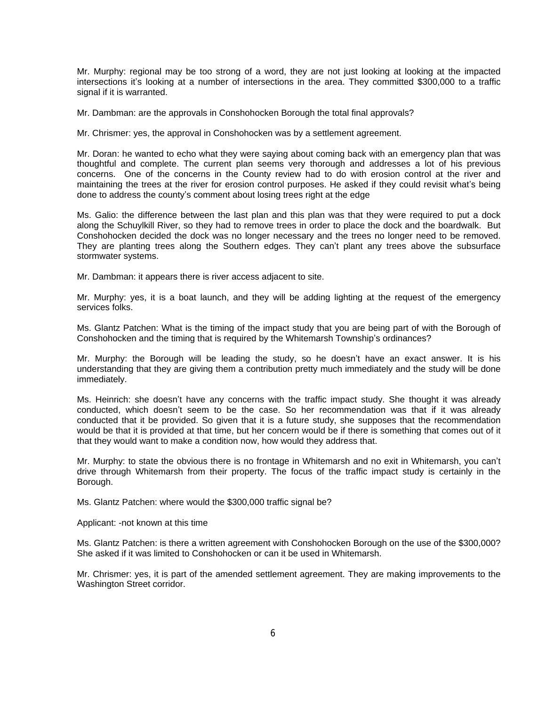Mr. Murphy: regional may be too strong of a word, they are not just looking at looking at the impacted intersections it's looking at a number of intersections in the area. They committed \$300,000 to a traffic signal if it is warranted.

Mr. Dambman: are the approvals in Conshohocken Borough the total final approvals?

Mr. Chrismer: yes, the approval in Conshohocken was by a settlement agreement.

Mr. Doran: he wanted to echo what they were saying about coming back with an emergency plan that was thoughtful and complete. The current plan seems very thorough and addresses a lot of his previous concerns. One of the concerns in the County review had to do with erosion control at the river and maintaining the trees at the river for erosion control purposes. He asked if they could revisit what's being done to address the county's comment about losing trees right at the edge

Ms. Galio: the difference between the last plan and this plan was that they were required to put a dock along the Schuylkill River, so they had to remove trees in order to place the dock and the boardwalk. But Conshohocken decided the dock was no longer necessary and the trees no longer need to be removed. They are planting trees along the Southern edges. They can't plant any trees above the subsurface stormwater systems.

Mr. Dambman: it appears there is river access adjacent to site.

Mr. Murphy: yes, it is a boat launch, and they will be adding lighting at the request of the emergency services folks.

Ms. Glantz Patchen: What is the timing of the impact study that you are being part of with the Borough of Conshohocken and the timing that is required by the Whitemarsh Township's ordinances?

Mr. Murphy: the Borough will be leading the study, so he doesn't have an exact answer. It is his understanding that they are giving them a contribution pretty much immediately and the study will be done immediately.

Ms. Heinrich: she doesn't have any concerns with the traffic impact study. She thought it was already conducted, which doesn't seem to be the case. So her recommendation was that if it was already conducted that it be provided. So given that it is a future study, she supposes that the recommendation would be that it is provided at that time, but her concern would be if there is something that comes out of it that they would want to make a condition now, how would they address that.

Mr. Murphy: to state the obvious there is no frontage in Whitemarsh and no exit in Whitemarsh, you can't drive through Whitemarsh from their property. The focus of the traffic impact study is certainly in the Borough.

Ms. Glantz Patchen: where would the \$300,000 traffic signal be?

Applicant: -not known at this time

Ms. Glantz Patchen: is there a written agreement with Conshohocken Borough on the use of the \$300,000? She asked if it was limited to Conshohocken or can it be used in Whitemarsh.

Mr. Chrismer: yes, it is part of the amended settlement agreement. They are making improvements to the Washington Street corridor.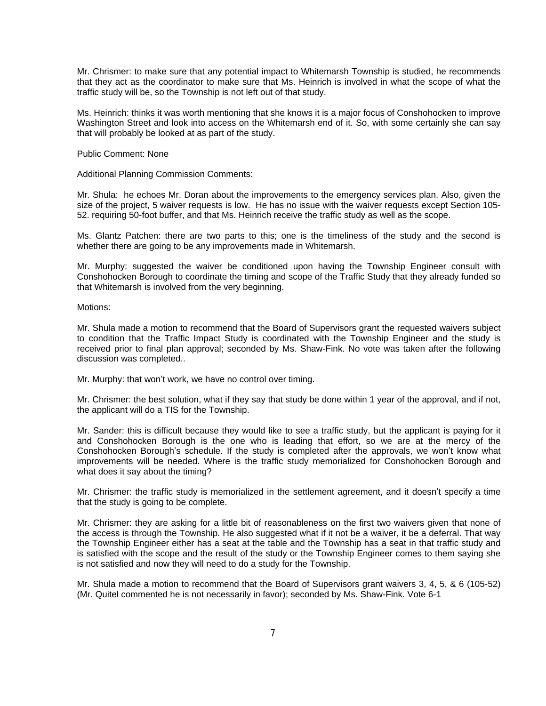Mr. Chrismer: to make sure that any potential impact to Whitemarsh Township is studied, he recommends that they act as the coordinator to make sure that Ms. Heinrich is involved in what the scope of what the traffic study will be, so the Township is not left out of that study.

Ms. Heinrich: thinks it was worth mentioning that she knows it is a major focus of Conshohocken to improve Washington Street and look into access on the Whitemarsh end of it. So, with some certainly she can say that will probably be looked at as part of the study.

Public Comment: None

Additional Planning Commission Comments:

Mr. Shula: he echoes Mr. Doran about the improvements to the emergency services plan. Also, given the size of the project, 5 waiver requests is low. He has no issue with the waiver requests except Section 105- 52. requiring 50-foot buffer, and that Ms. Heinrich receive the traffic study as well as the scope.

Ms. Glantz Patchen: there are two parts to this; one is the timeliness of the study and the second is whether there are going to be any improvements made in Whitemarsh.

Mr. Murphy: suggested the waiver be conditioned upon having the Township Engineer consult with Conshohocken Borough to coordinate the timing and scope of the Traffic Study that they already funded so that Whitemarsh is involved from the very beginning.

Motions:

Mr. Shula made a motion to recommend that the Board of Supervisors grant the requested waivers subject to condition that the Traffic Impact Study is coordinated with the Township Engineer and the study is received prior to final plan approval; seconded by Ms. Shaw-Fink. No vote was taken after the following discussion was completed..

Mr. Murphy: that won't work, we have no control over timing.

Mr. Chrismer: the best solution, what if they say that study be done within 1 year of the approval, and if not, the applicant will do a TIS for the Township.

Mr. Sander: this is difficult because they would like to see a traffic study, but the applicant is paying for it and Conshohocken Borough is the one who is leading that effort, so we are at the mercy of the Conshohocken Borough's schedule. If the study is completed after the approvals, we won't know what improvements will be needed. Where is the traffic study memorialized for Conshohocken Borough and what does it say about the timing?

Mr. Chrismer: the traffic study is memorialized in the settlement agreement, and it doesn't specify a time that the study is going to be complete.

Mr. Chrismer: they are asking for a little bit of reasonableness on the first two waivers given that none of the access is through the Township. He also suggested what if it not be a waiver, it be a deferral. That way the Township Engineer either has a seat at the table and the Township has a seat in that traffic study and is satisfied with the scope and the result of the study or the Township Engineer comes to them saying she is not satisfied and now they will need to do a study for the Township.

Mr. Shula made a motion to recommend that the Board of Supervisors grant waivers 3, 4, 5, & 6 (105-52) (Mr. Quitel commented he is not necessarily in favor); seconded by Ms. Shaw-Fink. Vote 6-1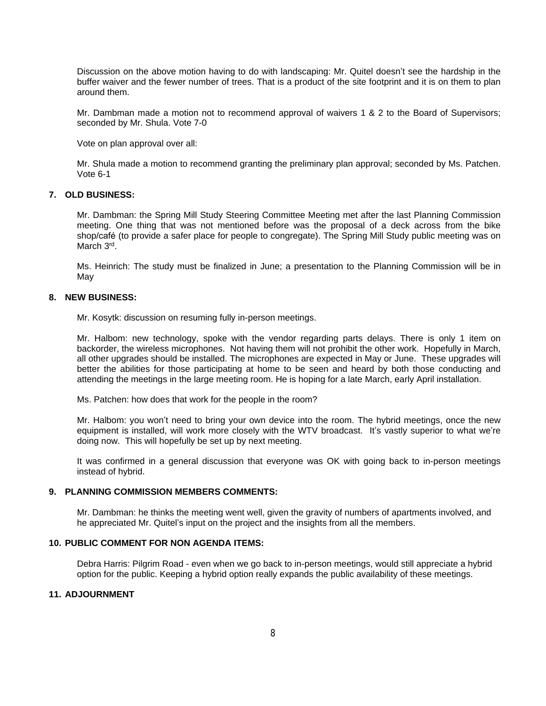Discussion on the above motion having to do with landscaping: Mr. Quitel doesn't see the hardship in the buffer waiver and the fewer number of trees. That is a product of the site footprint and it is on them to plan around them.

Mr. Dambman made a motion not to recommend approval of waivers 1 & 2 to the Board of Supervisors; seconded by Mr. Shula. Vote 7-0

Vote on plan approval over all:

Mr. Shula made a motion to recommend granting the preliminary plan approval; seconded by Ms. Patchen. Vote 6-1

#### **7. OLD BUSINESS:**

Mr. Dambman: the Spring Mill Study Steering Committee Meeting met after the last Planning Commission meeting. One thing that was not mentioned before was the proposal of a deck across from the bike shop/café (to provide a safer place for people to congregate). The Spring Mill Study public meeting was on March 3<sup>rd</sup>.

Ms. Heinrich: The study must be finalized in June; a presentation to the Planning Commission will be in May

#### **8. NEW BUSINESS:**

Mr. Kosytk: discussion on resuming fully in-person meetings.

Mr. Halbom: new technology, spoke with the vendor regarding parts delays. There is only 1 item on backorder, the wireless microphones. Not having them will not prohibit the other work. Hopefully in March, all other upgrades should be installed. The microphones are expected in May or June. These upgrades will better the abilities for those participating at home to be seen and heard by both those conducting and attending the meetings in the large meeting room. He is hoping for a late March, early April installation.

Ms. Patchen: how does that work for the people in the room?

Mr. Halbom: you won't need to bring your own device into the room. The hybrid meetings, once the new equipment is installed, will work more closely with the WTV broadcast. It's vastly superior to what we're doing now. This will hopefully be set up by next meeting.

It was confirmed in a general discussion that everyone was OK with going back to in-person meetings instead of hybrid.

#### **9. PLANNING COMMISSION MEMBERS COMMENTS:**

Mr. Dambman: he thinks the meeting went well, given the gravity of numbers of apartments involved, and he appreciated Mr. Quitel's input on the project and the insights from all the members.

#### **10. PUBLIC COMMENT FOR NON AGENDA ITEMS:**

Debra Harris: Pilgrim Road - even when we go back to in-person meetings, would still appreciate a hybrid option for the public. Keeping a hybrid option really expands the public availability of these meetings.

### **11. ADJOURNMENT**